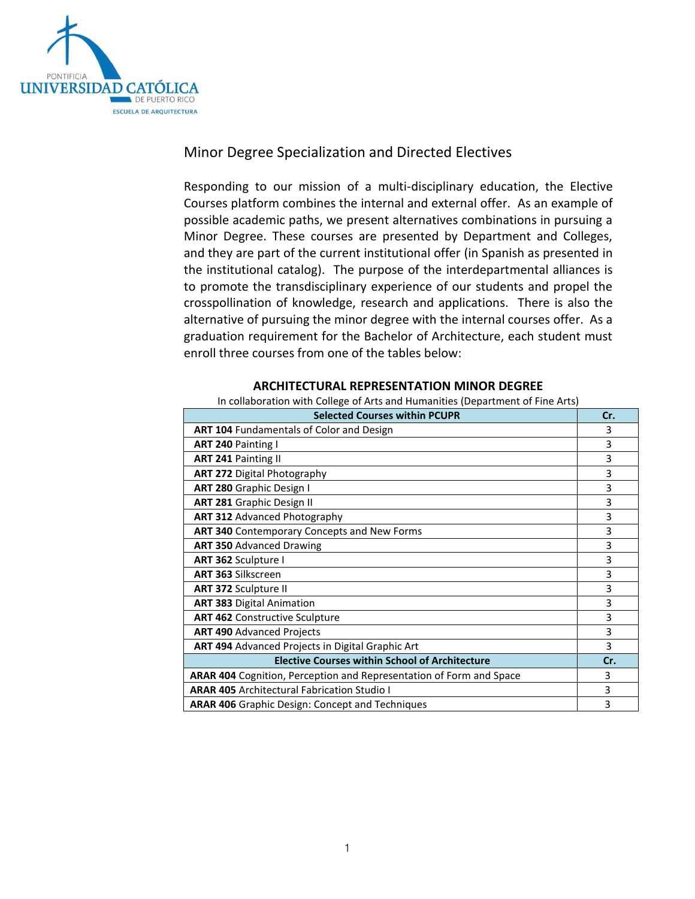

# Minor Degree Specialization and Directed Electives

Responding to our mission of a multi-disciplinary education, the Elective Courses platform combines the internal and external offer. As an example of possible academic paths, we present alternatives combinations in pursuing a Minor Degree. These courses are presented by Department and Colleges, and they are part of the current institutional offer (in Spanish as presented in the institutional catalog). The purpose of the interdepartmental alliances is to promote the transdisciplinary experience of our students and propel the crosspollination of knowledge, research and applications. There is also the alternative of pursuing the minor degree with the internal courses offer. As a graduation requirement for the Bachelor of Architecture, each student must enroll three courses from one of the tables below:

### **ARCHITECTURAL REPRESENTATION MINOR DEGREE**

#### In collaboration with College of Arts and Humanities (Department of Fine Arts)

| <b>Selected Courses within PCUPR</b>                                       | Cr. |
|----------------------------------------------------------------------------|-----|
| ART 104 Fundamentals of Color and Design                                   | 3   |
| <b>ART 240 Painting I</b>                                                  | 3   |
| <b>ART 241 Painting II</b>                                                 | 3   |
| <b>ART 272 Digital Photography</b>                                         | 3   |
| ART 280 Graphic Design I                                                   | 3   |
| <b>ART 281 Graphic Design II</b>                                           | 3   |
| <b>ART 312 Advanced Photography</b>                                        | 3   |
| ART 340 Contemporary Concepts and New Forms                                | 3   |
| <b>ART 350 Advanced Drawing</b>                                            | 3   |
| ART 362 Sculpture I                                                        | 3   |
| <b>ART 363 Silkscreen</b>                                                  | 3   |
| <b>ART 372 Sculpture II</b>                                                | 3   |
| <b>ART 383 Digital Animation</b>                                           | 3   |
| <b>ART 462 Constructive Sculpture</b>                                      | 3   |
| <b>ART 490 Advanced Projects</b>                                           | 3   |
| <b>ART 494</b> Advanced Projects in Digital Graphic Art                    | 3   |
| <b>Elective Courses within School of Architecture</b>                      | Cr. |
| <b>ARAR 404 Cognition, Perception and Representation of Form and Space</b> | 3   |
| <b>ARAR 405 Architectural Fabrication Studio I</b>                         | 3   |
| <b>ARAR 406</b> Graphic Design: Concept and Techniques                     | 3   |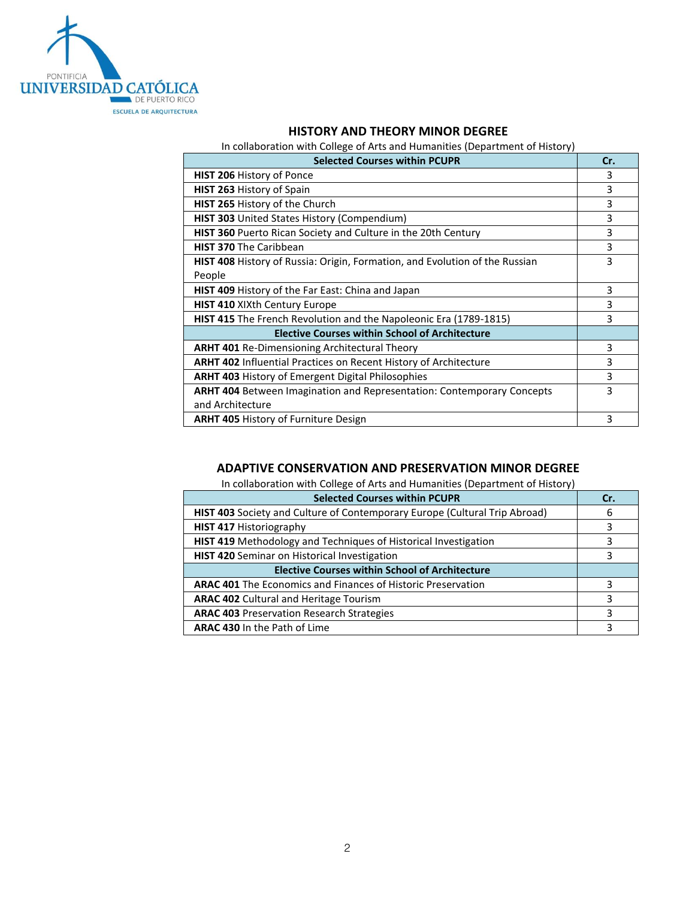

### **HISTORY AND THEORY MINOR DEGREE**

In collaboration with College of Arts and Humanities (Department of History)

| <b>Selected Courses within PCUPR</b>                                               | Cr. |
|------------------------------------------------------------------------------------|-----|
| <b>HIST 206 History of Ponce</b>                                                   | 3   |
| <b>HIST 263 History of Spain</b>                                                   | 3   |
| HIST 265 History of the Church                                                     | 3   |
| <b>HIST 303</b> United States History (Compendium)                                 | 3   |
| <b>HIST 360</b> Puerto Rican Society and Culture in the 20th Century               | 3   |
| <b>HIST 370 The Caribbean</b>                                                      | 3   |
| <b>HIST 408</b> History of Russia: Origin, Formation, and Evolution of the Russian | 3   |
| People                                                                             |     |
| <b>HIST 409</b> History of the Far East: China and Japan                           | 3   |
| HIST 410 XIXth Century Europe                                                      | 3   |
| <b>HIST 415</b> The French Revolution and the Napoleonic Era (1789-1815)           | 3   |
| <b>Elective Courses within School of Architecture</b>                              |     |
| <b>ARHT 401</b> Re-Dimensioning Architectural Theory                               | 3   |
| <b>ARHT 402</b> Influential Practices on Recent History of Architecture            | 3   |
| <b>ARHT 403 History of Emergent Digital Philosophies</b>                           | 3   |
| <b>ARHT 404</b> Between Imagination and Representation: Contemporary Concepts      | 3   |
| and Architecture                                                                   |     |
| <b>ARHT 405 History of Furniture Design</b>                                        | 3   |

### **ADAPTIVE CONSERVATION AND PRESERVATION MINOR DEGREE**

In collaboration with College of Arts and Humanities (Department of History)

| <b>Selected Courses within PCUPR</b>                                              | Cr. |
|-----------------------------------------------------------------------------------|-----|
| <b>HIST 403</b> Society and Culture of Contemporary Europe (Cultural Trip Abroad) | 6   |
| <b>HIST 417 Historiography</b>                                                    |     |
| HIST 419 Methodology and Techniques of Historical Investigation                   |     |
| <b>HIST 420</b> Seminar on Historical Investigation                               |     |
| <b>Elective Courses within School of Architecture</b>                             |     |
| <b>ARAC 401</b> The Economics and Finances of Historic Preservation               | 3   |
| <b>ARAC 402 Cultural and Heritage Tourism</b>                                     |     |
| <b>ARAC 403 Preservation Research Strategies</b>                                  | 3   |
| <b>ARAC 430 In the Path of Lime</b>                                               | ς   |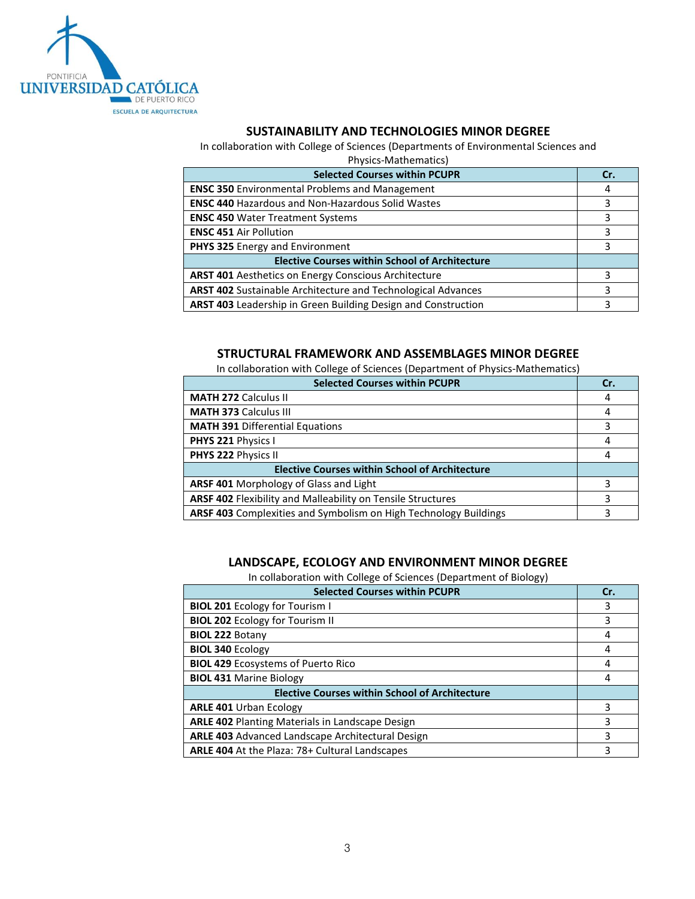

### **SUSTAINABILITY AND TECHNOLOGIES MINOR DEGREE**

In collaboration with College of Sciences (Departments of Environmental Sciences and

| Physics-Mathematics)                                                |     |
|---------------------------------------------------------------------|-----|
| <b>Selected Courses within PCUPR</b>                                | Cr. |
| <b>ENSC 350 Environmental Problems and Management</b>               | 4   |
| <b>ENSC 440 Hazardous and Non-Hazardous Solid Wastes</b>            | 3   |
| <b>ENSC 450 Water Treatment Systems</b>                             | 3   |
| <b>ENSC 451 Air Pollution</b>                                       | 3   |
| PHYS 325 Energy and Environment                                     | 3   |
| <b>Elective Courses within School of Architecture</b>               |     |
| <b>ARST 401</b> Aesthetics on Energy Conscious Architecture         | 3   |
| <b>ARST 402</b> Sustainable Architecture and Technological Advances | 3   |
| ARST 403 Leadership in Green Building Design and Construction       | 3   |

### **STRUCTURAL FRAMEWORK AND ASSEMBLAGES MINOR DEGREE**

In collaboration with College of Sciences (Department of Physics-Mathematics)

| <b>Selected Courses within PCUPR</b>                             | Cr. |
|------------------------------------------------------------------|-----|
| <b>MATH 272 Calculus II</b>                                      | 4   |
| <b>MATH 373 Calculus III</b>                                     | 4   |
| <b>MATH 391 Differential Equations</b>                           |     |
| PHYS 221 Physics I                                               | 4   |
| PHYS 222 Physics II                                              | 4   |
| <b>Elective Courses within School of Architecture</b>            |     |
| <b>ARSF 401 Morphology of Glass and Light</b>                    |     |
| ARSF 402 Flexibility and Malleability on Tensile Structures      |     |
| ARSF 403 Complexities and Symbolism on High Technology Buildings |     |

## **LANDSCAPE, ECOLOGY AND ENVIRONMENT MINOR DEGREE**

In collaboration with College of Sciences (Department of Biology)

| <b>Selected Courses within PCUPR</b>                    | Cr. |
|---------------------------------------------------------|-----|
| <b>BIOL 201 Ecology for Tourism I</b>                   |     |
| <b>BIOL 202 Ecology for Tourism II</b>                  | 3   |
| <b>BIOL 222 Botany</b>                                  | 4   |
| <b>BIOL 340 Ecology</b>                                 | 4   |
| <b>BIOL 429 Ecosystems of Puerto Rico</b>               | 4   |
| <b>BIOL 431 Marine Biology</b>                          | 4   |
| <b>Elective Courses within School of Architecture</b>   |     |
| <b>ARLE 401 Urban Ecology</b>                           | ੨   |
| <b>ARLE 402 Planting Materials in Landscape Design</b>  | ς   |
| <b>ARLE 403</b> Advanced Landscape Architectural Design |     |
| <b>ARLE 404</b> At the Plaza: 78+ Cultural Landscapes   | ς   |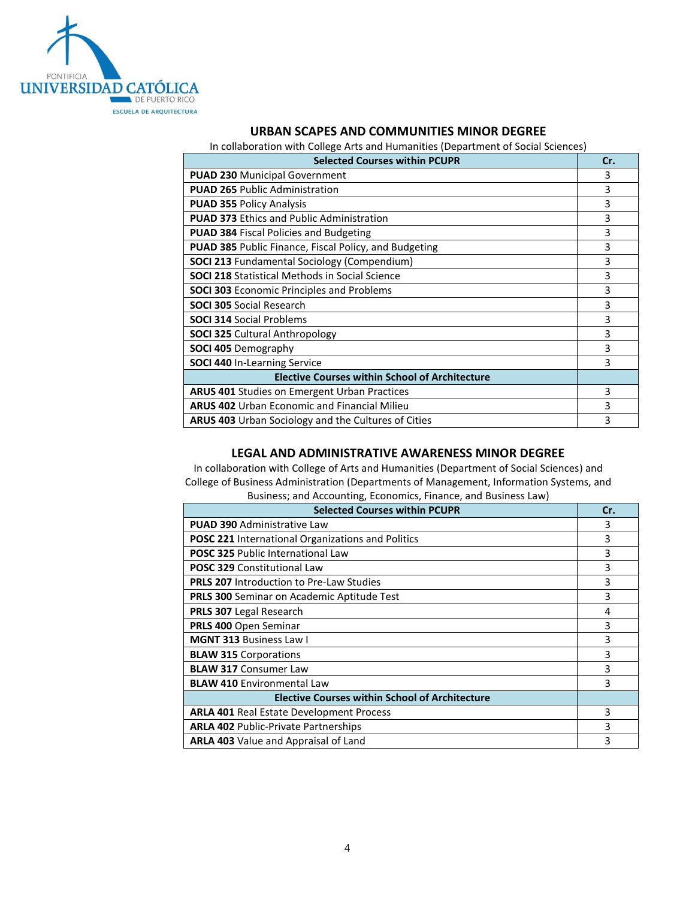

### **URBAN SCAPES AND COMMUNITIES MINOR DEGREE**

In collaboration with College Arts and Humanities (Department of Social Sciences)

| <b>Selected Courses within PCUPR</b>                         | Cr. |
|--------------------------------------------------------------|-----|
| <b>PUAD 230 Municipal Government</b>                         | 3   |
| <b>PUAD 265 Public Administration</b>                        | 3   |
| <b>PUAD 355 Policy Analysis</b>                              | 3   |
| <b>PUAD 373 Ethics and Public Administration</b>             | 3   |
| <b>PUAD 384 Fiscal Policies and Budgeting</b>                | 3   |
| <b>PUAD 385</b> Public Finance, Fiscal Policy, and Budgeting | 3   |
| <b>SOCI 213 Fundamental Sociology (Compendium)</b>           | 3   |
| <b>SOCI 218 Statistical Methods in Social Science</b>        | 3   |
| <b>SOCI 303 Economic Principles and Problems</b>             | 3   |
| <b>SOCI 305 Social Research</b>                              | 3   |
| <b>SOCI 314 Social Problems</b>                              | 3   |
| <b>SOCI 325 Cultural Anthropology</b>                        | 3   |
| <b>SOCI 405 Demography</b>                                   | 3   |
| <b>SOCI 440 In-Learning Service</b>                          | 3   |
| <b>Elective Courses within School of Architecture</b>        |     |
| <b>ARUS 401 Studies on Emergent Urban Practices</b>          | 3   |
| <b>ARUS 402</b> Urban Economic and Financial Milieu          | 3   |
| <b>ARUS 403</b> Urban Sociology and the Cultures of Cities   | 3   |

#### **LEGAL AND ADMINISTRATIVE AWARENESS MINOR DEGREE**

In collaboration with College of Arts and Humanities (Department of Social Sciences) and College of Business Administration (Departments of Management, Information Systems, and Business; and Accounting, Economics, Finance, and Business Law)

| <b>Selected Courses within PCUPR</b>                     | Cr. |
|----------------------------------------------------------|-----|
| <b>PUAD 390 Administrative Law</b>                       | 3   |
| <b>POSC 221 International Organizations and Politics</b> | 3   |
| <b>POSC 325 Public International Law</b>                 | 3   |
| <b>POSC 329 Constitutional Law</b>                       | 3   |
| <b>PRLS 207</b> Introduction to Pre-Law Studies          | 3   |
| <b>PRLS 300</b> Seminar on Academic Aptitude Test        | 3   |
| <b>PRLS 307 Legal Research</b>                           | 4   |
| PRLS 400 Open Seminar                                    | 3   |
| <b>MGNT 313 Business Law I</b>                           | 3   |
| <b>BLAW 315 Corporations</b>                             | 3   |
| <b>BLAW 317 Consumer Law</b>                             | 3   |
| <b>BLAW 410 Environmental Law</b>                        | 3   |
| <b>Elective Courses within School of Architecture</b>    |     |
| <b>ARLA 401 Real Estate Development Process</b>          | 3   |
| <b>ARLA 402 Public-Private Partnerships</b>              | 3   |
| <b>ARLA 403</b> Value and Appraisal of Land              | 3   |